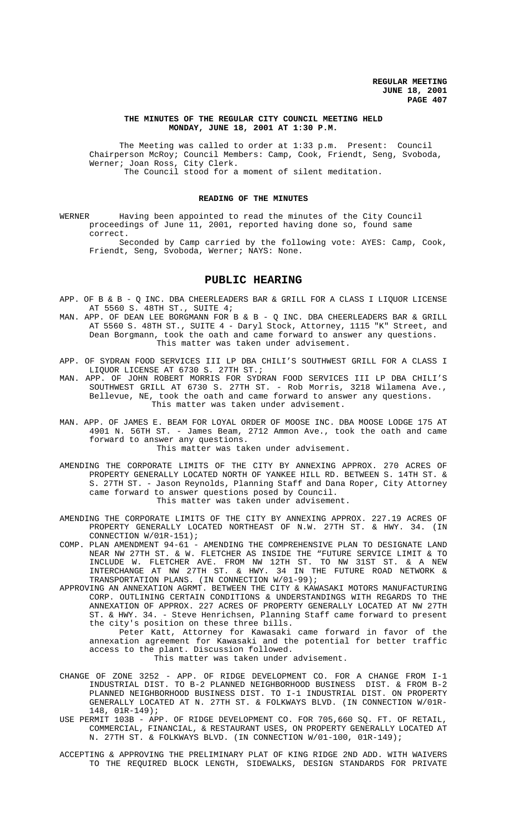### **THE MINUTES OF THE REGULAR CITY COUNCIL MEETING HELD MONDAY, JUNE 18, 2001 AT 1:30 P.M.**

The Meeting was called to order at 1:33 p.m. Present: Council Chairperson McRoy; Council Members: Camp, Cook, Friendt, Seng, Svoboda, Werner; Joan Ross, City Clerk. The Council stood for a moment of silent meditation.

# **READING OF THE MINUTES**

WERNER Having been appointed to read the minutes of the City Council proceedings of June 11, 2001, reported having done so, found same correct. Seconded by Camp carried by the following vote: AYES: Camp, Cook,

Friendt, Seng, Svoboda, Werner; NAYS: None.

# **PUBLIC HEARING**

- APP. OF B & B Q INC. DBA CHEERLEADERS BAR & GRILL FOR A CLASS I LIQUOR LICENSE AT 5560 S. 48TH ST., SUITE 4;
- MAN. APP. OF DEAN LEE BORGMANN FOR B & B Q INC. DBA CHEERLEADERS BAR & GRILL AT 5560 S. 48TH ST., SUITE 4 - Daryl Stock, Attorney, 1115 "K" Street, and Dean Borgmann, took the oath and came forward to answer any questions. This matter was taken under advisement.
- APP. OF SYDRAN FOOD SERVICES III LP DBA CHILI'S SOUTHWEST GRILL FOR A CLASS I LIQUOR LICENSE AT 6730 S. 27TH ST.;
- MAN. APP. OF JOHN ROBERT MORRIS FOR SYDRAN FOOD SERVICES III LP DBA CHILI'S SOUTHWEST GRILL AT 6730 S. 27TH ST. - Rob Morris, 3218 Wilamena Ave., Bellevue, NE, took the oath and came forward to answer any questions. This matter was taken under advisement.
- MAN. APP. OF JAMES E. BEAM FOR LOYAL ORDER OF MOOSE INC. DBA MOOSE LODGE 175 AT 4901 N. 56TH ST. - James Beam, 2712 Ammon Ave., took the oath and came forward to answer any questions.

This matter was taken under advisement.

- AMENDING THE CORPORATE LIMITS OF THE CITY BY ANNEXING APPROX. 270 ACRES OF PROPERTY GENERALLY LOCATED NORTH OF YANKEE HILL RD. BETWEEN S. 14TH ST. & S. 27TH ST. - Jason Reynolds, Planning Staff and Dana Roper, City Attorney came forward to answer questions posed by Council. This matter was taken under advisement.
- AMENDING THE CORPORATE LIMITS OF THE CITY BY ANNEXING APPROX. 227.19 ACRES OF PROPERTY GENERALLY LOCATED NORTHEAST OF N.W. 27TH ST. & HWY. 34. (IN CONNECTION W/01R-151);
- COMP. PLAN AMENDMENT 94-61 AMENDING THE COMPREHENSIVE PLAN TO DESIGNATE LAND NEAR NW 27TH ST. & W. FLETCHER AS INSIDE THE "FUTURE SERVICE LIMIT & TO INCLUDE W. FLETCHER AVE. FROM NW 12TH ST. TO NW 31ST ST. & A NEW INTERCHANGE AT NW 27TH ST. & HWY. 34 IN THE FUTURE ROAD NETWORK & TRANSPORTATION PLANS. (IN CONNECTION W/01-99);
- APPROVING AN ANNEXATION AGRMT. BETWEEN THE CITY & KAWASAKI MOTORS MANUFACTURING CORP. OUTLINING CERTAIN CONDITIONS & UNDERSTANDINGS WITH REGARDS TO THE ANNEXATION OF APPROX. 227 ACRES OF PROPERTY GENERALLY LOCATED AT NW 27TH ST. & HWY. 34. - Steve Henrichsen, Planning Staff came forward to present the city's position on these three bills.

Peter Katt, Attorney for Kawasaki came forward in favor of the annexation agreement for Kawasaki and the potential for better traffic access to the plant. Discussion followed.

This matter was taken under advisement.

- CHANGE OF ZONE 3252 APP. OF RIDGE DEVELOPMENT CO. FOR A CHANGE FROM I-1 INDUSTRIAL DIST. TO B-2 PLANNED NEIGHBORHOOD BUSINESS DIST. & FROM B-2 PLANNED NEIGHBORHOOD BUSINESS DIST. TO I-1 INDUSTRIAL DIST. ON PROPERTY GENERALLY LOCATED AT N. 27TH ST. & FOLKWAYS BLVD. (IN CONNECTION W/01R-148, 01R-149);
- USE PERMIT 103B APP. OF RIDGE DEVELOPMENT CO. FOR 705,660 SQ. FT. OF RETAIL, COMMERCIAL, FINANCIAL, & RESTAURANT USES, ON PROPERTY GENERALLY LOCATED AT N. 27TH ST. & FOLKWAYS BLVD. (IN CONNECTION W/01-100, 01R-149);
- ACCEPTING & APPROVING THE PRELIMINARY PLAT OF KING RIDGE 2ND ADD. WITH WAIVERS TO THE REQUIRED BLOCK LENGTH, SIDEWALKS, DESIGN STANDARDS FOR PRIVATE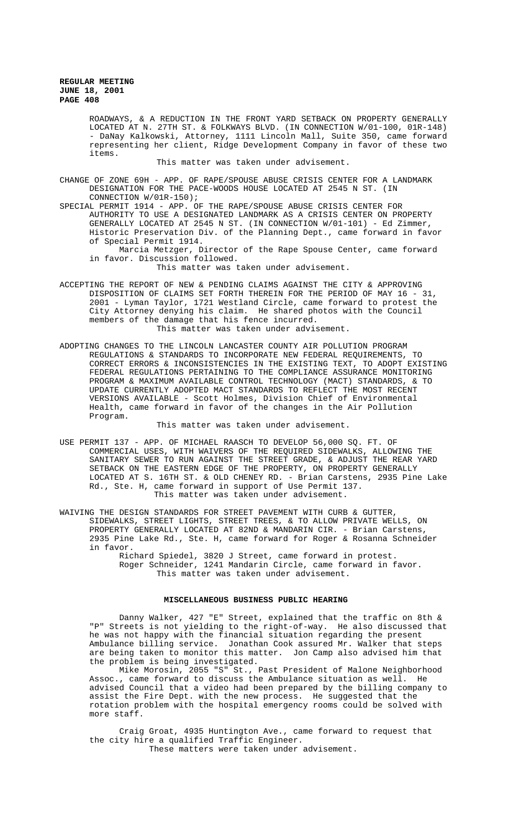ROADWAYS, & A REDUCTION IN THE FRONT YARD SETBACK ON PROPERTY GENERALLY LOCATED AT N. 27TH ST. & FOLKWAYS BLVD. (IN CONNECTION W/01-100, 01R-148) - DaNay Kalkowski, Attorney, 1111 Lincoln Mall, Suite 350, came forward representing her client, Ridge Development Company in favor of these two items.

This matter was taken under advisement.

CHANGE OF ZONE 69H - APP. OF RAPE/SPOUSE ABUSE CRISIS CENTER FOR A LANDMARK DESIGNATION FOR THE PACE-WOODS HOUSE LOCATED AT 2545 N ST. (IN CONNECTION W/01R-150);

SPECIAL PERMIT 1914 - APP. OF THE RAPE/SPOUSE ABUSE CRISIS CENTER FOR AUTHORITY TO USE A DESIGNATED LANDMARK AS A CRISIS CENTER ON PROPERTY GENERALLY LOCATED AT 2545 N ST. (IN CONNECTION W/01-101) - Ed Zimmer, Historic Preservation Div. of the Planning Dept., came forward in favor of Special Permit 1914.

Marcia Metzger, Director of the Rape Spouse Center, came forward in favor. Discussion followed.

This matter was taken under advisement.

ACCEPTING THE REPORT OF NEW & PENDING CLAIMS AGAINST THE CITY & APPROVING DISPOSITION OF CLAIMS SET FORTH THEREIN FOR THE PERIOD OF MAY 16 - 31, 2001 - Lyman Taylor, 1721 Westland Circle, came forward to protest the City Attorney denying his claim. He shared photos with the Council members of the damage that his fence incurred. This matter was taken under advisement.

ADOPTING CHANGES TO THE LINCOLN LANCASTER COUNTY AIR POLLUTION PROGRAM REGULATIONS & STANDARDS TO INCORPORATE NEW FEDERAL REQUIREMENTS, TO CORRECT ERRORS & INCONSISTENCIES IN THE EXISTING TEXT, TO ADOPT EXISTING FEDERAL REGULATIONS PERTAINING TO THE COMPLIANCE ASSURANCE MONITORING PROGRAM & MAXIMUM AVAILABLE CONTROL TECHNOLOGY (MACT) STANDARDS, & TO UPDATE CURRENTLY ADOPTED MACT STANDARDS TO REFLECT THE MOST RECENT VERSIONS AVAILABLE - Scott Holmes, Division Chief of Environmental Health, came forward in favor of the changes in the Air Pollution Program.

This matter was taken under advisement.

- USE PERMIT 137 APP. OF MICHAEL RAASCH TO DEVELOP 56,000 SQ. FT. OF COMMERCIAL USES, WITH WAIVERS OF THE REQUIRED SIDEWALKS, ALLOWING THE SANITARY SEWER TO RUN AGAINST THE STREET GRADE, & ADJUST THE REAR YARD SETBACK ON THE EASTERN EDGE OF THE PROPERTY, ON PROPERTY GENERALLY LOCATED AT S. 16TH ST. & OLD CHENEY RD. - Brian Carstens, 2935 Pine Lake Rd., Ste. H, came forward in support of Use Permit 137. This matter was taken under advisement.
- WAIVING THE DESIGN STANDARDS FOR STREET PAVEMENT WITH CURB & GUTTER, SIDEWALKS, STREET LIGHTS, STREET TREES, & TO ALLOW PRIVATE WELLS, ON PROPERTY GENERALLY LOCATED AT 82ND & MANDARIN CIR. - Brian Carstens, 2935 Pine Lake Rd., Ste. H, came forward for Roger & Rosanna Schneider in favor.
	- Richard Spiedel, 3820 J Street, came forward in protest. Roger Schneider, 1241 Mandarin Circle, came forward in favor. This matter was taken under advisement.

### **MISCELLANEOUS BUSINESS PUBLIC HEARING**

Danny Walker, 427 "E" Street, explained that the traffic on 8th & "P" Streets is not yielding to the right-of-way. He also discussed that he was not happy with the financial situation regarding the present Ambulance billing service. Jonathan Cook assured Mr. Walker that steps are being taken to monitor this matter. Jon Camp also advised him that the problem is being investigated.

Mike Morosin, 2055 "S" St., Past President of Malone Neighborhood Assoc., came forward to discuss the Ambulance situation as well. He advised Council that a video had been prepared by the billing company to assist the Fire Dept. with the new process. He suggested that the rotation problem with the hospital emergency rooms could be solved with more staff.

Craig Groat, 4935 Huntington Ave., came forward to request that the city hire a qualified Traffic Engineer. These matters were taken under advisement.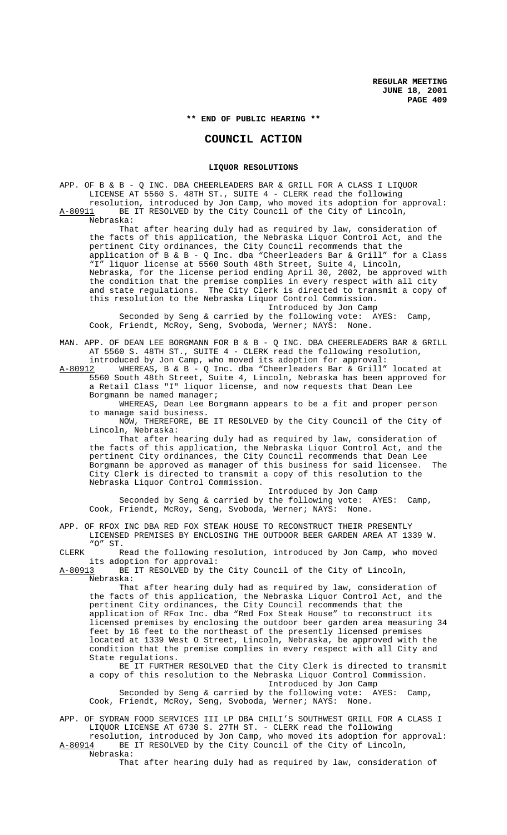**\*\* END OF PUBLIC HEARING \*\***

# **COUNCIL ACTION**

# **LIQUOR RESOLUTIONS**

APP. OF B & B - Q INC. DBA CHEERLEADERS BAR & GRILL FOR A CLASS I LIQUOR LICENSE AT 5560 S. 48TH ST., SUITE 4 - CLERK read the following resolution, introduced by Jon Camp, who moved its adoption for approval:<br>A-80911 BE IT RESOLVED by the City Council of the City of Lincoln. BE IT RESOLVED by the City Council of the City of Lincoln, Nebraska:

That after hearing duly had as required by law, consideration of the facts of this application, the Nebraska Liquor Control Act, and the pertinent City ordinances, the City Council recommends that the application of B & B - Q Inc. dba "Cheerleaders Bar & Grill" for a Class "I" liquor license at 5560 South 48th Street, Suite 4, Lincoln, Nebraska, for the license period ending April 30, 2002, be approved with the condition that the premise complies in every respect with all city and state regulations. The City Clerk is directed to transmit a copy of this resolution to the Nebraska Liquor Control Commission. Introduced by Jon Camp

Seconded by Seng & carried by the following vote: AYES: Camp, Cook, Friendt, McRoy, Seng, Svoboda, Werner; NAYS: None.

MAN. APP. OF DEAN LEE BORGMANN FOR B & B - Q INC. DBA CHEERLEADERS BAR & GRILL AT 5560 S. 48TH ST., SUITE 4 - CLERK read the following resolution, introduced by Jon Camp, who moved its adoption for approval:

A-80912 MHEREAS, B & B - Q Inc. dba "Cheerleaders Bar & Grill" located at 5560 South 48th Street, Suite 4, Lincoln, Nebraska has been approved for a Retail Class "I" liquor license, and now requests that Dean Lee Borgmann be named manager;

WHEREAS, Dean Lee Borgmann appears to be a fit and proper person to manage said business.

NOW, THEREFORE, BE IT RESOLVED by the City Council of the City of Lincoln, Nebraska:

That after hearing duly had as required by law, consideration of the facts of this application, the Nebraska Liquor Control Act, and the pertinent City ordinances, the City Council recommends that Dean Lee Borgmann be approved as manager of this business for said licensee. The City Clerk is directed to transmit a copy of this resolution to the Nebraska Liquor Control Commission.

Introduced by Jon Camp Seconded by Seng & carried by the following vote: AYES: Camp, Cook, Friendt, McRoy, Seng, Svoboda, Werner; NAYS: None.

APP. OF RFOX INC DBA RED FOX STEAK HOUSE TO RECONSTRUCT THEIR PRESENTLY LICENSED PREMISES BY ENCLOSING THE OUTDOOR BEER GARDEN AREA AT 1339 W. "O" ST.

CLERK Read the following resolution, introduced by Jon Camp, who moved its adoption for approval:<br>A-80913 BE IT RESOLVED by th

BE IT RESOLVED by the City Council of the City of Lincoln, Nebraska:

That after hearing duly had as required by law, consideration of the facts of this application, the Nebraska Liquor Control Act, and the pertinent City ordinances, the City Council recommends that the application of RFox Inc. dba "Red Fox Steak House" to reconstruct its licensed premises by enclosing the outdoor beer garden area measuring 34 feet by 16 feet to the northeast of the presently licensed premises located at 1339 West O Street, Lincoln, Nebraska, be approved with the condition that the premise complies in every respect with all City and State regulations.

BE IT FURTHER RESOLVED that the City Clerk is directed to transmit a copy of this resolution to the Nebraska Liquor Control Commission. Introduced by Jon Camp

Seconded by Seng & carried by the following vote: AYES: Camp, Cook, Friendt, McRoy, Seng, Svoboda, Werner; NAYS: None.

APP. OF SYDRAN FOOD SERVICES III LP DBA CHILI'S SOUTHWEST GRILL FOR A CLASS I LIQUOR LICENSE AT 6730 S. 27TH ST. - CLERK read the following resolution, introduced by Jon Camp, who moved its adoption for approval:

A-80914 BE IT RESOLVED by the City Council of the City of Lincoln, Nebraska:

That after hearing duly had as required by law, consideration of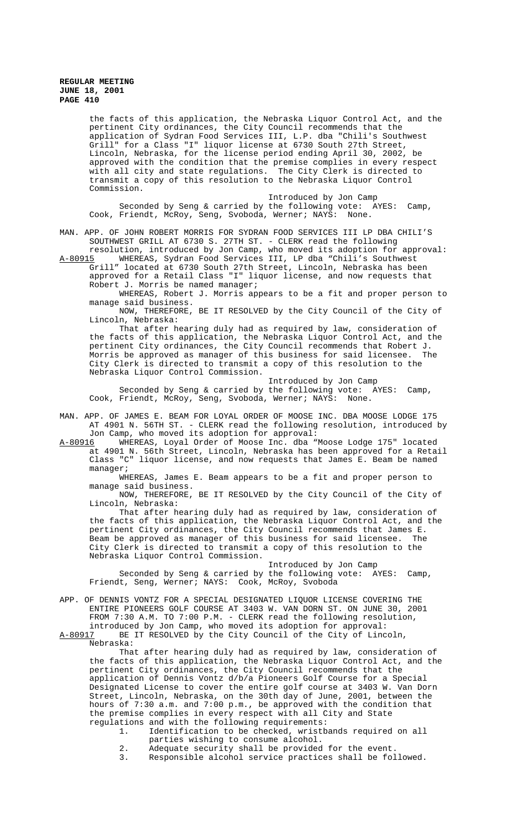**REGULAR MEETING JUNE 18, 2001 PAGE 410**

> the facts of this application, the Nebraska Liquor Control Act, and the pertinent City ordinances, the City Council recommends that the application of Sydran Food Services III, L.P. dba "Chili's Southwest Grill" for a Class "I" liquor license at 6730 South 27th Street, Lincoln, Nebraska, for the license period ending April 30, 2002, be approved with the condition that the premise complies in every respect with all city and state regulations. The City Clerk is directed to transmit a copy of this resolution to the Nebraska Liquor Control Commission.

Introduced by Jon Camp Seconded by Seng & carried by the following vote: AYES: Camp, Cook, Friendt, McRoy, Seng, Svoboda, Werner; NAYS: None.

MAN. APP. OF JOHN ROBERT MORRIS FOR SYDRAN FOOD SERVICES III LP DBA CHILI'S SOUTHWEST GRILL AT 6730 S. 27TH ST. - CLERK read the following resolution, introduced by Jon Camp, who moved its adoption for approval:

A-80915 WHEREAS, Sydran Food Services III, LP dba "Chili's Southwest Grill" located at 6730 South 27th Street, Lincoln, Nebraska has been approved for a Retail Class "I" liquor license, and now requests that

Robert J. Morris be named manager; WHEREAS, Robert J. Morris appears to be a fit and proper person to

manage said business. NOW, THEREFORE, BE IT RESOLVED by the City Council of the City of Lincoln, Nebraska:

That after hearing duly had as required by law, consideration of the facts of this application, the Nebraska Liquor Control Act, and the pertinent City ordinances, the City Council recommends that Robert J. Morris be approved as manager of this business for said licensee. The City Clerk is directed to transmit a copy of this resolution to the Nebraska Liquor Control Commission.

Introduced by Jon Camp Seconded by Seng & carried by the following vote: AYES: Camp, Cook, Friendt, McRoy, Seng, Svoboda, Werner; NAYS: None.

MAN. APP. OF JAMES E. BEAM FOR LOYAL ORDER OF MOOSE INC. DBA MOOSE LODGE 175 AT 4901 N. 56TH ST. - CLERK read the following resolution, introduced by

Jon Camp, who moved its adoption for approval:<br>A-80916 WHEREAS, Loyal Order of Moose Inc. dba WHEREAS, Loyal Order of Moose Inc. dba "Moose Lodge 175" located at 4901 N. 56th Street, Lincoln, Nebraska has been approved for a Retail Class "C" liquor license, and now requests that James E. Beam be named manager;

WHEREAS, James E. Beam appears to be a fit and proper person to manage said business.

NOW, THEREFORE, BE IT RESOLVED by the City Council of the City of Lincoln, Nebraska:

That after hearing duly had as required by law, consideration of the facts of this application, the Nebraska Liquor Control Act, and the pertinent City ordinances, the City Council recommends that James E. Beam be approved as manager of this business for said licensee. The City Clerk is directed to transmit a copy of this resolution to the Nebraska Liquor Control Commission.

Introduced by Jon Camp Seconded by Seng & carried by the following vote: AYES: Camp, Friendt, Seng, Werner; NAYS: Cook, McRoy, Svoboda

APP. OF DENNIS VONTZ FOR A SPECIAL DESIGNATED LIQUOR LICENSE COVERING THE ENTIRE PIONEERS GOLF COURSE AT 3403 W. VAN DORN ST. ON JUNE 30, 2001 FROM 7:30 A.M. TO 7:00 P.M. - CLERK read the following resolution, introduced by Jon Camp, who moved its adoption for approval:<br>A-80917 BE IT RESOLVED by the City Council of the City of Linc

BE IT RESOLVED by the City Council of the City of Lincoln, Nebraska:

That after hearing duly had as required by law, consideration of the facts of this application, the Nebraska Liquor Control Act, and the pertinent City ordinances, the City Council recommends that the application of Dennis Vontz d/b/a Pioneers Golf Course for a Special Designated License to cover the entire golf course at 3403 W. Van Dorn Street, Lincoln, Nebraska, on the 30th day of June, 2001, between the hours of 7:30 a.m. and 7:00 p.m., be approved with the condition that the premise complies in every respect with all City and State regulations and with the following requirements:

- 1. Identification to be checked, wristbands required on all parties wishing to consume alcohol.
- 2. Adequate security shall be provided for the event.<br>3. Responsible alcohol service practices shall be fol
- Responsible alcohol service practices shall be followed.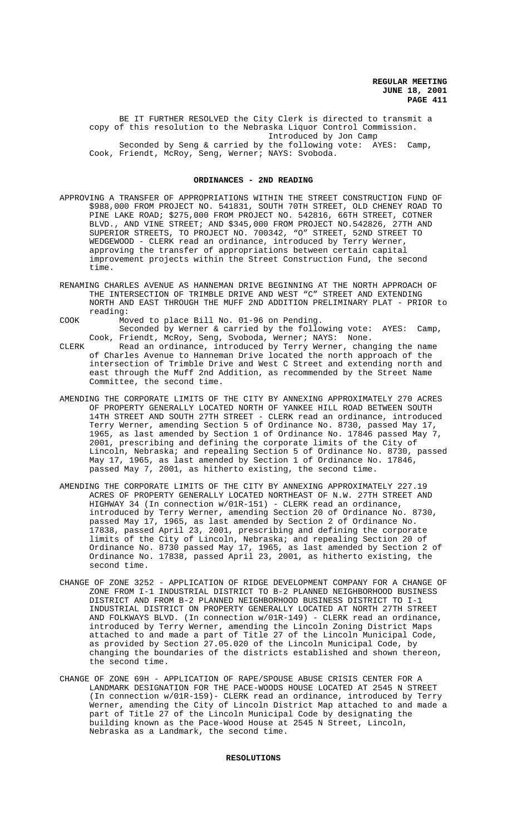**REGULAR MEETING JUNE 18, 2001 PAGE 411**

BE IT FURTHER RESOLVED the City Clerk is directed to transmit a copy of this resolution to the Nebraska Liquor Control Commission. Introduced by Jon Camp Seconded by Seng & carried by the following vote: AYES: Camp, Cook, Friendt, McRoy, Seng, Werner; NAYS: Svoboda.

#### **ORDINANCES - 2ND READING**

- APPROVING A TRANSFER OF APPROPRIATIONS WITHIN THE STREET CONSTRUCTION FUND OF \$988,000 FROM PROJECT NO. 541831, SOUTH 70TH STREET, OLD CHENEY ROAD TO PINE LAKE ROAD; \$275,000 FROM PROJECT NO. 542816, 66TH STREET, COTNER BLVD., AND VINE STREET; AND \$345,000 FROM PROJECT NO.542826, 27TH AND SUPERIOR STREETS, TO PROJECT NO. 700342, "O" STREET, 52ND STREET TO WEDGEWOOD - CLERK read an ordinance, introduced by Terry Werner, approving the transfer of appropriations between certain capital improvement projects within the Street Construction Fund, the second time.
- RENAMING CHARLES AVENUE AS HANNEMAN DRIVE BEGINNING AT THE NORTH APPROACH OF THE INTERSECTION OF TRIMBLE DRIVE AND WEST "C" STREET AND EXTENDING NORTH AND EAST THROUGH THE MUFF 2ND ADDITION PRELIMINARY PLAT - PRIOR to reading:
- COOK Moved to place Bill No. 01-96 on Pending. Seconded by Werner & carried by the following vote: AYES: Camp,
- Cook, Friendt, McRoy, Seng, Svoboda, Werner; NAYS: None. CLERK Read an ordinance, introduced by Terry Werner, changing the name of Charles Avenue to Hanneman Drive located the north approach of the intersection of Trimble Drive and West C Street and extending north and east through the Muff 2nd Addition, as recommended by the Street Name Committee, the second time.
- AMENDING THE CORPORATE LIMITS OF THE CITY BY ANNEXING APPROXIMATELY 270 ACRES OF PROPERTY GENERALLY LOCATED NORTH OF YANKEE HILL ROAD BETWEEN SOUTH 14TH STREET AND SOUTH 27TH STREET - CLERK read an ordinance, introduced Terry Werner, amending Section 5 of Ordinance No. 8730, passed May 17, 1965, as last amended by Section 1 of Ordinance No. 17846 passed May 7, 2001, prescribing and defining the corporate limits of the City of Lincoln, Nebraska; and repealing Section 5 of Ordinance No. 8730, passed May 17, 1965, as last amended by Section 1 of Ordinance No. 17846, passed May 7, 2001, as hitherto existing, the second time.
- AMENDING THE CORPORATE LIMITS OF THE CITY BY ANNEXING APPROXIMATELY 227.19 ACRES OF PROPERTY GENERALLY LOCATED NORTHEAST OF N.W. 27TH STREET AND HIGHWAY 34 (In connection w/01R-151) - CLERK read an ordinance, introduced by Terry Werner, amending Section 20 of Ordinance No. 8730, passed May 17, 1965, as last amended by Section 2 of Ordinance No. 17838, passed April 23, 2001, prescribing and defining the corporate limits of the City of Lincoln, Nebraska; and repealing Section 20 of Ordinance No. 8730 passed May 17, 1965, as last amended by Section 2 of Ordinance No. 17838, passed April 23, 2001, as hitherto existing, the second time.
- CHANGE OF ZONE 3252 APPLICATION OF RIDGE DEVELOPMENT COMPANY FOR A CHANGE OF ZONE FROM I-1 INDUSTRIAL DISTRICT TO B-2 PLANNED NEIGHBORHOOD BUSINESS DISTRICT AND FROM B-2 PLANNED NEIGHBORHOOD BUSINESS DISTRICT TO I-1 INDUSTRIAL DISTRICT ON PROPERTY GENERALLY LOCATED AT NORTH 27TH STREET AND FOLKWAYS BLVD. (In connection w/01R-149) - CLERK read an ordinance, introduced by Terry Werner, amending the Lincoln Zoning District Maps attached to and made a part of Title 27 of the Lincoln Municipal Code, as provided by Section 27.05.020 of the Lincoln Municipal Code, by changing the boundaries of the districts established and shown thereon, the second time.
- CHANGE OF ZONE 69H APPLICATION OF RAPE/SPOUSE ABUSE CRISIS CENTER FOR A LANDMARK DESIGNATION FOR THE PACE-WOODS HOUSE LOCATED AT 2545 N STREET (In connection w/01R-159)- CLERK read an ordinance, introduced by Terry Werner, amending the City of Lincoln District Map attached to and made a part of Title 27 of the Lincoln Municipal Code by designating the building known as the Pace-Wood House at 2545 N Street, Lincoln, Nebraska as a Landmark, the second time.

# **RESOLUTIONS**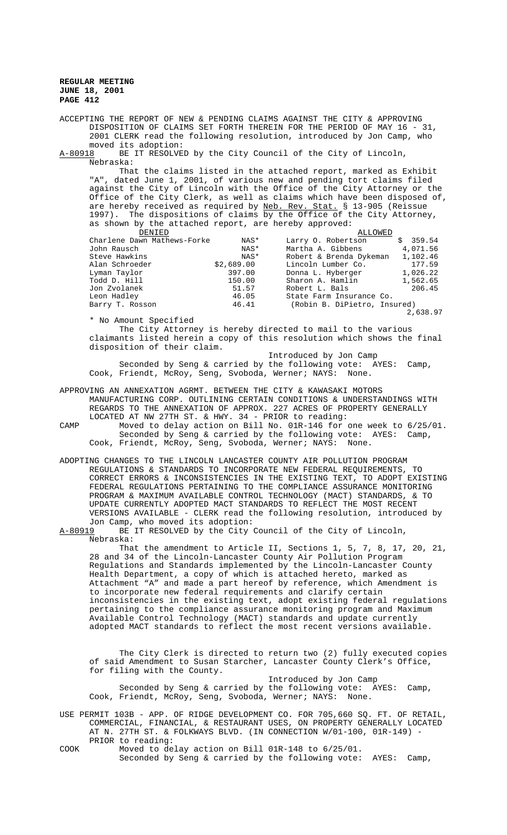**REGULAR MEETING JUNE 18, 2001 PAGE 412**

ACCEPTING THE REPORT OF NEW & PENDING CLAIMS AGAINST THE CITY & APPROVING DISPOSITION OF CLAIMS SET FORTH THEREIN FOR THE PERIOD OF MAY 16 - 31, 2001 CLERK read the following resolution, introduced by Jon Camp, who

moved its adoption:<br>A-80918 BE IT RESOLVE BE IT RESOLVED by the City Council of the City of Lincoln, Nebraska:

That the claims listed in the attached report, marked as Exhibit "A", dated June 1, 2001, of various new and pending tort claims filed against the City of Lincoln with the Office of the City Attorney or the Office of the City Clerk, as well as claims which have been disposed of, are hereby received as required by <u>Neb. Rev. Stat.</u> § 13-905 (Reissue 1997). The dispositions of claims by the Office of the City Attorney, as shown by the attached report, are hereby approved:

| DENIED                      |            | ALLOWED                      |          |
|-----------------------------|------------|------------------------------|----------|
| Charlene Dawn Mathews-Forke | NAS*       | Larry O. Robertson           | \$359.54 |
| John Rausch                 | NAS*       | Martha A. Gibbens            | 4,071.56 |
| Steve Hawkins               | NAS*       | Robert & Brenda Dykeman      | 1,102.46 |
| Alan Schroeder              | \$2,689.00 | Lincoln Lumber Co.           | 177.59   |
| Lyman Taylor                | 397.00     | Donna L. Hyberger            | 1,026.22 |
| Todd D. Hill                | 150.00     | Sharon A. Hamlin             | 1,562.65 |
| Jon Zvolanek                | 51.57      | Robert L. Bals               | 206.45   |
| Leon Hadley                 | 46.05      | State Farm Insurance Co.     |          |
| Barry T. Rosson             | 46.41      | (Robin B. DiPietro, Insured) |          |
|                             |            |                              | 2,638.97 |

\* No Amount Specified

The City Attorney is hereby directed to mail to the various claimants listed herein a copy of this resolution which shows the final disposition of their claim.

Introduced by Jon Camp Seconded by Seng & carried by the following vote: AYES: Camp, Cook, Friendt, McRoy, Seng, Svoboda, Werner; NAYS: None.

APPROVING AN ANNEXATION AGRMT. BETWEEN THE CITY & KAWASAKI MOTORS MANUFACTURING CORP. OUTLINING CERTAIN CONDITIONS & UNDERSTANDINGS WITH REGARDS TO THE ANNEXATION OF APPROX. 227 ACRES OF PROPERTY GENERALLY LOCATED AT NW 27TH ST. & HWY. 34 - PRIOR to reading:

CAMP Moved to delay action on Bill No. 01R-146 for one week to 6/25/01. Seconded by Seng & carried by the following vote: AYES: Camp, Cook, Friendt, McRoy, Seng, Svoboda, Werner; NAYS: None.

ADOPTING CHANGES TO THE LINCOLN LANCASTER COUNTY AIR POLLUTION PROGRAM REGULATIONS & STANDARDS TO INCORPORATE NEW FEDERAL REQUIREMENTS, TO CORRECT ERRORS & INCONSISTENCIES IN THE EXISTING TEXT, TO ADOPT EXISTING FEDERAL REGULATIONS PERTAINING TO THE COMPLIANCE ASSURANCE MONITORING PROGRAM & MAXIMUM AVAILABLE CONTROL TECHNOLOGY (MACT) STANDARDS, & TO UPDATE CURRENTLY ADOPTED MACT STANDARDS TO REFLECT THE MOST RECENT VERSIONS AVAILABLE - CLERK read the following resolution, introduced by Jon Camp, who moved its adoption:<br>A-80919 BE IT RESOLVED by the City

BE IT RESOLVED by the City Council of the City of Lincoln, Nebraska:

That the amendment to Article II, Sections 1, 5, 7, 8, 17, 20, 21, 28 and 34 of the Lincoln-Lancaster County Air Pollution Program Regulations and Standards implemented by the Lincoln-Lancaster County Health Department, a copy of which is attached hereto, marked as Attachment "A" and made a part hereof by reference, which Amendment is to incorporate new federal requirements and clarify certain inconsistencies in the existing text, adopt existing federal regulations pertaining to the compliance assurance monitoring program and Maximum Available Control Technology (MACT) standards and update currently adopted MACT standards to reflect the most recent versions available.

The City Clerk is directed to return two (2) fully executed copies of said Amendment to Susan Starcher, Lancaster County Clerk's Office, for filing with the County.

Introduced by Jon Camp Seconded by Seng & carried by the following vote: AYES: Camp, Cook, Friendt, McRoy, Seng, Svoboda, Werner; NAYS: None.

USE PERMIT 103B - APP. OF RIDGE DEVELOPMENT CO. FOR 705,660 SQ. FT. OF RETAIL, COMMERCIAL, FINANCIAL, & RESTAURANT USES, ON PROPERTY GENERALLY LOCATED AT N. 27TH ST. & FOLKWAYS BLVD. (IN CONNECTION W/01-100, 01R-149) - PRIOR to reading:

COOK Moved to delay action on Bill 01R-148 to 6/25/01. Seconded by Seng & carried by the following vote: AYES: Camp,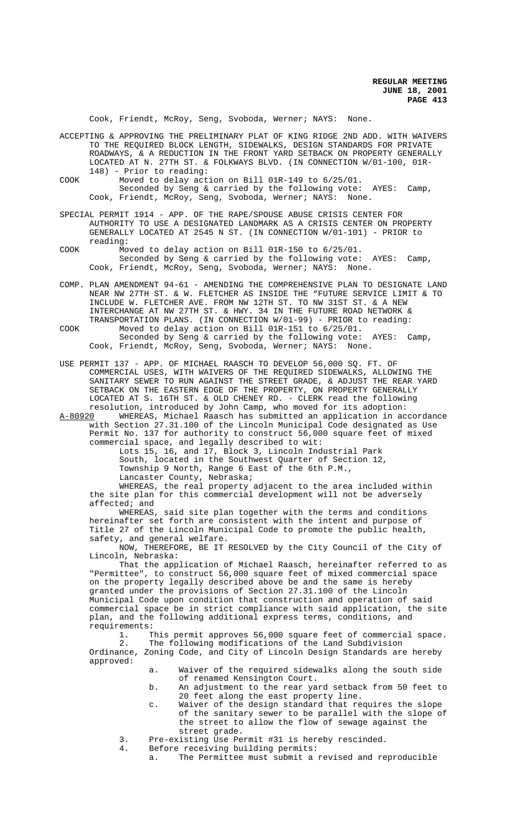Cook, Friendt, McRoy, Seng, Svoboda, Werner; NAYS: None.

ACCEPTING & APPROVING THE PRELIMINARY PLAT OF KING RIDGE 2ND ADD. WITH WAIVERS TO THE REQUIRED BLOCK LENGTH, SIDEWALKS, DESIGN STANDARDS FOR PRIVATE ROADWAYS, & A REDUCTION IN THE FRONT YARD SETBACK ON PROPERTY GENERALLY LOCATED AT N. 27TH ST. & FOLKWAYS BLVD. (IN CONNECTION W/01-100, 01R-148) - Prior to reading:

COOK Moved to delay action on Bill 01R-149 to 6/25/01. Seconded by Seng & carried by the following vote: AYES: Camp, Cook, Friendt, McRoy, Seng, Svoboda, Werner; NAYS: None.

SPECIAL PERMIT 1914 - APP. OF THE RAPE/SPOUSE ABUSE CRISIS CENTER FOR AUTHORITY TO USE A DESIGNATED LANDMARK AS A CRISIS CENTER ON PROPERTY GENERALLY LOCATED AT 2545 N ST. (IN CONNECTION W/01-101) - PRIOR to reading:

COOK Moved to delay action on Bill 01R-150 to 6/25/01. Seconded by Seng & carried by the following vote: AYES: Camp, Cook, Friendt, McRoy, Seng, Svoboda, Werner; NAYS: None.

COMP. PLAN AMENDMENT 94-61 - AMENDING THE COMPREHENSIVE PLAN TO DESIGNATE LAND NEAR NW 27TH ST. & W. FLETCHER AS INSIDE THE "FUTURE SERVICE LIMIT & TO INCLUDE W. FLETCHER AVE. FROM NW 12TH ST. TO NW 31ST ST. & A NEW INTERCHANGE AT NW 27TH ST. & HWY. 34 IN THE FUTURE ROAD NETWORK & TRANSPORTATION PLANS. (IN CONNECTION W/01-99) - PRIOR to reading:

COOK Moved to delay action on Bill 01R-151 to 6/25/01. Seconded by Seng & carried by the following vote: AYES: Camp, Cook, Friendt, McRoy, Seng, Svoboda, Werner; NAYS: None.

USE PERMIT 137 - APP. OF MICHAEL RAASCH TO DEVELOP 56,000 SQ. FT. OF COMMERCIAL USES, WITH WAIVERS OF THE REQUIRED SIDEWALKS, ALLOWING THE SANITARY SEWER TO RUN AGAINST THE STREET GRADE, & ADJUST THE REAR YARD SETBACK ON THE EASTERN EDGE OF THE PROPERTY, ON PROPERTY GENERALLY LOCATED AT S. 16TH ST. & OLD CHENEY RD. - CLERK read the following resolution, introduced by John Camp, who moved for its adoption:

A-80920 WHEREAS, Michael Raasch has submitted an application in accordance with Section 27.31.100 of the Lincoln Municipal Code designated as Use Permit No. 137 for authority to construct 56,000 square feet of mixed commercial space, and legally described to wit:

Lots 15, 16, and 17, Block 3, Lincoln Industrial Park

South, located in the Southwest Quarter of Section 12,

Township 9 North, Range 6 East of the 6th P.M.,

Lancaster County, Nebraska;

WHEREAS, the real property adjacent to the area included within the site plan for this commercial development will not be adversely affected; and

WHEREAS, said site plan together with the terms and conditions hereinafter set forth are consistent with the intent and purpose of Title 27 of the Lincoln Municipal Code to promote the public health, safety, and general welfare.

NOW, THEREFORE, BE IT RESOLVED by the City Council of the City of Lincoln, Nebraska:

That the application of Michael Raasch, hereinafter referred to as "Permittee", to construct 56,000 square feet of mixed commercial space on the property legally described above be and the same is hereby granted under the provisions of Section 27.31.100 of the Lincoln Municipal Code upon condition that construction and operation of said commercial space be in strict compliance with said application, the site plan, and the following additional express terms, conditions, and requirements:<br>1. T

1. This permit approves 56,000 square feet of commercial space.<br>2. The following modifications of the Land Subdivision The following modifications of the Land Subdivision

Ordinance, Zoning Code, and City of Lincoln Design Standards are hereby approved:

- a. Waiver of the required sidewalks along the south side of renamed Kensington Court.
- b. An adjustment to the rear yard setback from 50 feet to 20 feet along the east property line.
- c. Waiver of the design standard that requires the slope of the sanitary sewer to be parallel with the slope of the street to allow the flow of sewage against the street grade.
- 3. Pre-existing Use Permit #31 is hereby rescinded.
	- Before receiving building permits:
		- a. The Permittee must submit a revised and reproducible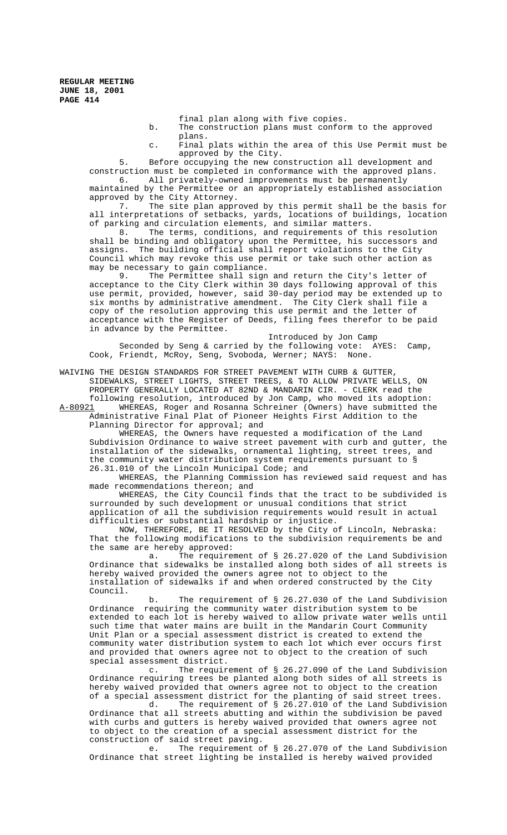final plan along with five copies.

- b. The construction plans must conform to the approved plans.
- c. Final plats within the area of this Use Permit must be approved by the City.

5. Before occupying the new construction all development and construction must be completed in conformance with the approved plans.<br>6. All privately-owned improvements must be permanently

All privately-owned improvements must be permanently maintained by the Permittee or an appropriately established association approved by the City Attorney.

7. The site plan approved by this permit shall be the basis for all interpretations of setbacks, yards, locations of buildings, location of parking and circulation elements, and similar matters.

8. The terms, conditions, and requirements of this resolution shall be binding and obligatory upon the Permittee, his successors and assigns. The building official shall report violations to the City Council which may revoke this use permit or take such other action as may be necessary to gain compliance.

9. The Permittee shall sign and return the City's letter of acceptance to the City Clerk within 30 days following approval of this use permit, provided, however, said 30-day period may be extended up to six months by administrative amendment. The City Clerk shall file a copy of the resolution approving this use permit and the letter of acceptance with the Register of Deeds, filing fees therefor to be paid in advance by the Permittee.

Introduced by Jon Camp Seconded by Seng & carried by the following vote: AYES: Camp, Cook, Friendt, McRoy, Seng, Svoboda, Werner; NAYS: None.

WAIVING THE DESIGN STANDARDS FOR STREET PAVEMENT WITH CURB & GUTTER, SIDEWALKS, STREET LIGHTS, STREET TREES, & TO ALLOW PRIVATE WELLS, ON PROPERTY GENERALLY LOCATED AT 82ND & MANDARIN CIR. - CLERK read the following resolution, introduced by Jon Camp, who moved its adoption:

WHEREAS, Roger and Rosanna Schreiner (Owners) have submitted the Administrative Final Plat of Pioneer Heights First Addition to the Planning Director for approval; and

WHEREAS, the Owners have requested a modification of the Land Subdivision Ordinance to waive street pavement with curb and gutter, the installation of the sidewalks, ornamental lighting, street trees, and the community water distribution system requirements pursuant to § 26.31.010 of the Lincoln Municipal Code; and

WHEREAS, the Planning Commission has reviewed said request and has made recommendations thereon; and

WHEREAS, the City Council finds that the tract to be subdivided is surrounded by such development or unusual conditions that strict application of all the subdivision requirements would result in actual difficulties or substantial hardship or injustice.

NOW, THEREFORE, BE IT RESOLVED by the City of Lincoln, Nebraska: That the following modifications to the subdivision requirements be and the same are hereby approved:

a. The requirement of § 26.27.020 of the Land Subdivision Ordinance that sidewalks be installed along both sides of all streets is hereby waived provided the owners agree not to object to the installation of sidewalks if and when ordered constructed by the City Council.

b. The requirement of § 26.27.030 of the Land Subdivision Ordinance requiring the community water distribution system to be extended to each lot is hereby waived to allow private water wells until such time that water mains are built in the Mandarin Court Community Unit Plan or a special assessment district is created to extend the community water distribution system to each lot which ever occurs first and provided that owners agree not to object to the creation of such special assessment district.<br>c. The require

The requirement of  $\S$  26.27.090 of the Land Subdivision Ordinance requiring trees be planted along both sides of all streets is hereby waived provided that owners agree not to object to the creation of a special assessment district for the planting of said street trees.

d. The requirement of § 26.27.010 of the Land Subdivision Ordinance that all streets abutting and within the subdivision be paved with curbs and gutters is hereby waived provided that owners agree not to object to the creation of a special assessment district for the construction of said street paving.<br>e. The requirement c

The requirement of § 26.27.070 of the Land Subdivision Ordinance that street lighting be installed is hereby waived provided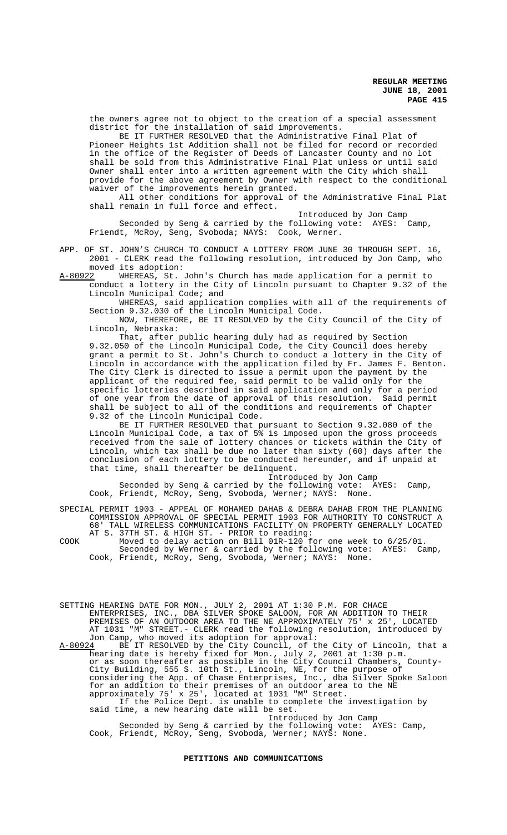**REGULAR MEETING JUNE 18, 2001 PAGE 415**

the owners agree not to object to the creation of a special assessment district for the installation of said improvements.

BE IT FURTHER RESOLVED that the Administrative Final Plat of Pioneer Heights 1st Addition shall not be filed for record or recorded in the office of the Register of Deeds of Lancaster County and no lot shall be sold from this Administrative Final Plat unless or until said Owner shall enter into a written agreement with the City which shall provide for the above agreement by Owner with respect to the conditional waiver of the improvements herein granted.

All other conditions for approval of the Administrative Final Plat shall remain in full force and effect.

Introduced by Jon Camp Seconded by Seng & carried by the following vote: AYES: Camp, Friendt, McRoy, Seng, Svoboda; NAYS: Cook, Werner.

APP. OF ST. JOHN'S CHURCH TO CONDUCT A LOTTERY FROM JUNE 30 THROUGH SEPT. 16, 2001 - CLERK read the following resolution, introduced by Jon Camp, who moved its adoption:

A-80922 WHEREAS, St. John's Church has made application for a permit to conduct a lottery in the City of Lincoln pursuant to Chapter 9.32 of the Lincoln Municipal Code; and

WHEREAS, said application complies with all of the requirements of Section 9.32.030 of the Lincoln Municipal Code.

NOW, THEREFORE, BE IT RESOLVED by the City Council of the City of Lincoln, Nebraska:

That, after public hearing duly had as required by Section 9.32.050 of the Lincoln Municipal Code, the City Council does hereby grant a permit to St. John's Church to conduct a lottery in the City of Lincoln in accordance with the application filed by Fr. James F. Benton. The City Clerk is directed to issue a permit upon the payment by the applicant of the required fee, said permit to be valid only for the specific lotteries described in said application and only for a period of one year from the date of approval of this resolution. Said permit shall be subject to all of the conditions and requirements of Chapter 9.32 of the Lincoln Municipal Code.

BE IT FURTHER RESOLVED that pursuant to Section 9.32.080 of the Lincoln Municipal Code, a tax of 5% is imposed upon the gross proceeds received from the sale of lottery chances or tickets within the City of Lincoln, which tax shall be due no later than sixty (60) days after the conclusion of each lottery to be conducted hereunder, and if unpaid at that time, shall thereafter be delinquent.

Introduced by Jon Camp Seconded by Seng & carried by the following vote: AYES: Camp, Cook, Friendt, McRoy, Seng, Svoboda, Werner; NAYS: None.

SPECIAL PERMIT 1903 - APPEAL OF MOHAMED DAHAB & DEBRA DAHAB FROM THE PLANNING COMMISSION APPROVAL OF SPECIAL PERMIT 1903 FOR AUTHORITY TO CONSTRUCT 68' TALL WIRELESS COMMUNICATIONS FACILITY ON PROPERTY GENERALLY LOCATED AT S. 37TH ST. & HIGH ST. - PRIOR to reading:

COOK Moved to delay action on Bill 01R-120 for one week to 6/25/01. Seconded by Werner & carried by the following vote: AYES: Camp, Cook, Friendt, McRoy, Seng, Svoboda, Werner; NAYS: None.

SETTING HEARING DATE FOR MON., JULY 2, 2001 AT 1:30 P.M. FOR CHACE ENTERPRISES, INC., DBA SILVER SPOKE SALOON, FOR AN ADDITION TO THEIR PREMISES OF AN OUTDOOR AREA TO THE NE APPROXIMATELY 75' x 25', LOCATED AT 1031 "M" STREET.- CLERK read the following resolution, introduced by Jon Camp, who moved its adoption for approval:

A-80924 BE IT RESOLVED by the City Council, of the City of Lincoln, that a hearing date is hereby fixed for Mon., July 2, 2001 at 1:30 p.m. or as soon thereafter as possible in the City Council Chambers, County-City Building, 555 S. 10th St., Lincoln, NE, for the purpose of considering the App. of Chase Enterprises, Inc., dba Silver Spoke Saloon for an addition to their premises of an outdoor area to the NE approximately 75' x 25', located at 1031 "M" Street. If the Police Dept. is unable to complete the investigation by said time, a new hearing date will be set.

Introduced by Jon Camp Seconded by Seng & carried by the following vote: AYES: Camp, Cook, Friendt, McRoy, Seng, Svoboda, Werner; NAYS: None.

#### **PETITIONS AND COMMUNICATIONS**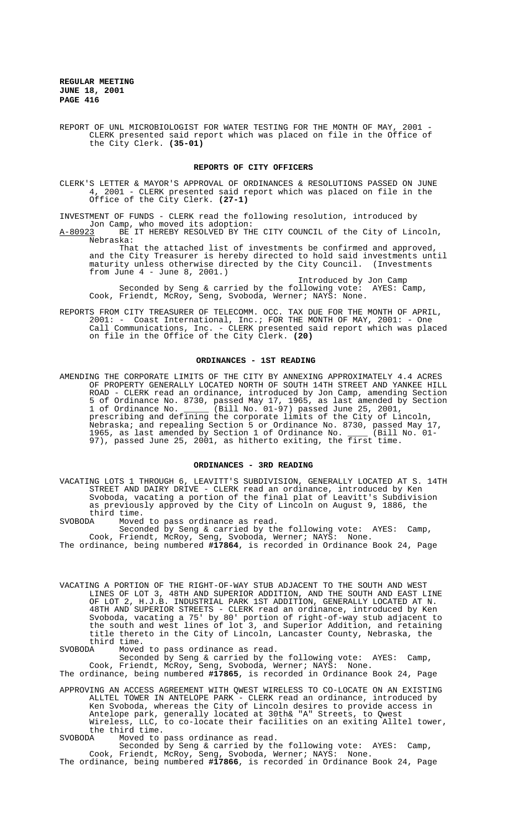**REGULAR MEETING JUNE 18, 2001 PAGE 416**

REPORT OF UNL MICROBIOLOGIST FOR WATER TESTING FOR THE MONTH OF MAY, 2001 -CLERK presented said report which was placed on file in the Office of the City Clerk. **(35-01)**

# **REPORTS OF CITY OFFICERS**

CLERK'S LETTER & MAYOR'S APPROVAL OF ORDINANCES & RESOLUTIONS PASSED ON JUNE<br>4. 2001 - CLERK presented said report which was placed on file in the 4, 2001 - CLERK presented said report which was placed on file in the Office of the City Clerk. **(27-1)**

INVESTMENT OF FUNDS - CLERK read the following resolution, introduced by Jon Camp, who moved its adoption:

A-80923 BE IT HEREBY RESOLVED BY THE CITY COUNCIL of the City of Lincoln, Nebraska:

That the attached list of investments be confirmed and approved, and the City Treasurer is hereby directed to hold said investments until maturity unless otherwise directed by the City Council. (Investments from June 4 - June 8, 2001.)

Introduced by Jon Camp Seconded by Seng & carried by the following vote: AYES: Camp, Cook, Friendt, McRoy, Seng, Svoboda, Werner; NAYS: None.

REPORTS FROM CITY TREASURER OF TELECOMM. OCC. TAX DUE FOR THE MONTH OF APRIL, 2001: - Coast International, Inc.; FOR THE MONTH OF MAY, 2001: - One Call Communications, Inc. - CLERK presented said report which was placed on file in the Office of the City Clerk. **(20)**

#### **ORDINANCES - 1ST READING**

AMENDING THE CORPORATE LIMITS OF THE CITY BY ANNEXING APPROXIMATELY 4.4 ACRES OF PROPERTY GENERALLY LOCATED NORTH OF SOUTH 14TH STREET AND YANKEE HILL ROAD - CLERK read an ordinance, introduced by Jon Camp, amending Section 5 of Ordinance No. 8730, passed May 17, 1965, as last amended by Section 1 of Ordinance No. \_\_\_\_\_ (Bill No. 01-97) passed June 25, 2001, prescribing and defining the corporate limits of the City of Lincoln, Nebraska; and repealing Section 5 or Ordinance No. 8730, passed May 17, 1965, as last amended by Section 1 of Ordinance No. \_\_\_\_ (Bill No. 01- 97), passed June 25, 2001, as hitherto exiting, the first time.

# **ORDINANCES - 3RD READING**

VACATING LOTS 1 THROUGH 6, LEAVITT'S SUBDIVISION, GENERALLY LOCATED AT S. 14TH STREET AND DAIRY DRIVE - CLERK read an ordinance, introduced by Ken Svoboda, vacating a portion of the final plat of Leavitt's Subdivision as previously approved by the City of Lincoln on August 9, 1886, the third time.<br>SVOBODA Moved

Moved to pass ordinance as read.

Seconded by Seng & carried by the following vote: AYES: Camp, Cook, Friendt, McRoy, Seng, Svoboda, Werner; NAYS: None. The ordinance, being numbered **#17864**, is recorded in Ordinance Book 24, Page

VACATING A PORTION OF THE RIGHT-OF-WAY STUB ADJACENT TO THE SOUTH AND WEST LINES OF LOT 3, 48TH AND SUPERIOR ADDITION, AND THE SOUTH AND EAST LINE OF LOT 2, H.J.B. INDUSTRIAL PARK 1ST ADDITION, GENERALLY LOCATED AT N. 48TH AND SUPERIOR STREETS - CLERK read an ordinance, introduced by Ken Svoboda, vacating a 75' by 80' portion of right-of-way stub adjacent to the south and west lines of lot 3, and Superior Addition, and retaining title thereto in the City of Lincoln, Lancaster County, Nebraska, the third time.<br>SVOBODA Moved

SVOBODA Moved to pass ordinance as read.

Seconded by Seng & carried by the following vote: AYES: Camp, Cook, Friendt, McRoy, Seng, Svoboda, Werner; NAYS: None. The ordinance, being numbered **#17865**, is recorded in Ordinance Book 24, Page

APPROVING AN ACCESS AGREEMENT WITH QWEST WIRELESS TO CO-LOCATE ON AN EXISTING ALLTEL TOWER IN ANTELOPE PARK - CLERK read an ordinance, introduced by Ken Svoboda, whereas the City of Lincoln desires to provide access in Antelope park, generally located at 30th& "A" Streets, to Qwest Wireless, LLC, to co-locate their facilities on an exiting Alltel tower, the third time.

SVOBODA Moved to pass ordinance as read.

Seconded by Seng & carried by the following vote: AYES: Camp, Cook, Friendt, McRoy, Seng, Svoboda, Werner; NAYS: None. The ordinance, being numbered **#17866**, is recorded in Ordinance Book 24, Page